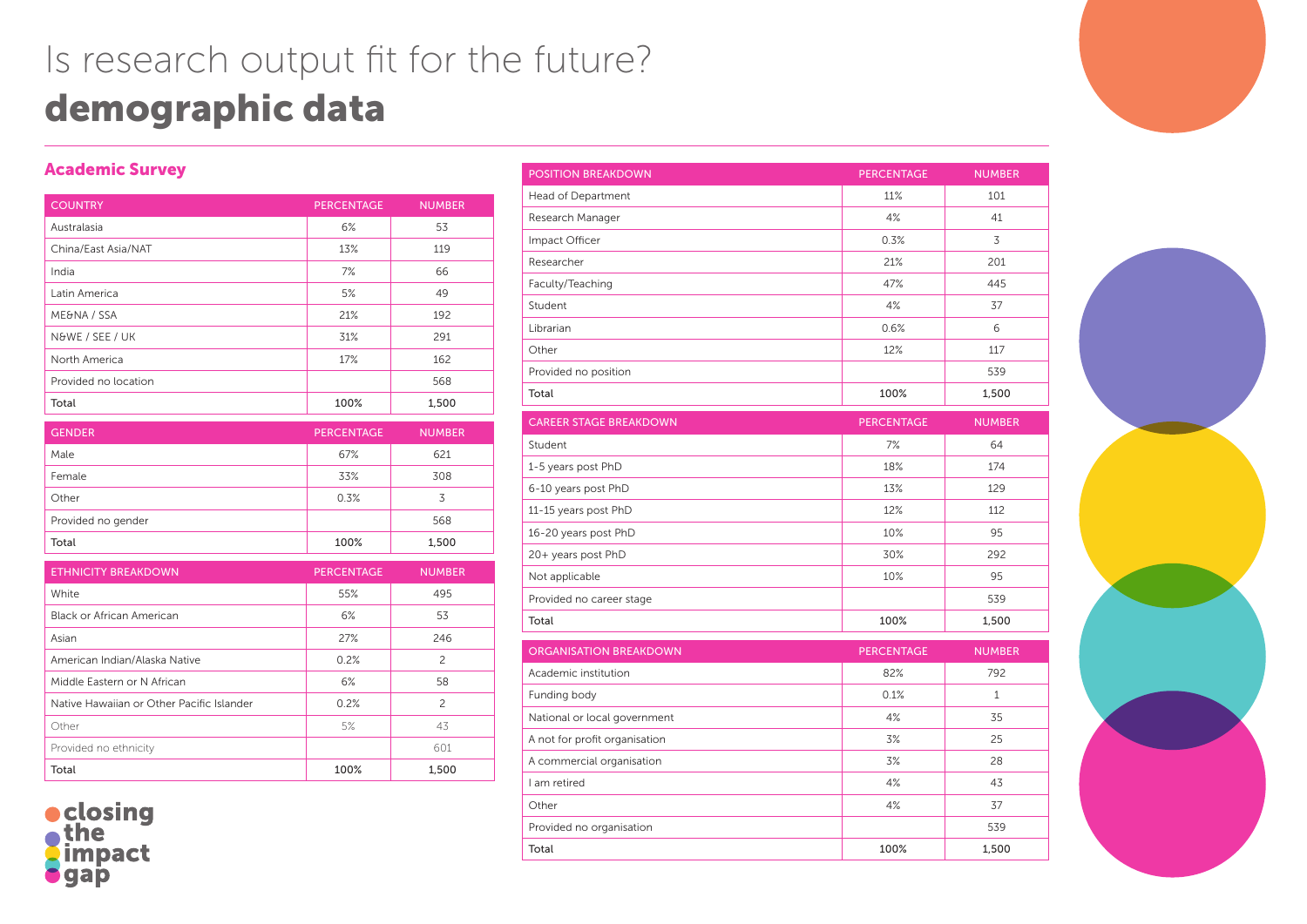## Is research output fit for the future? demographic data

## Academic Survey

| <b>COUNTRY</b>       | <b>PERCENTAGE</b> | <b>NUMBER</b> |
|----------------------|-------------------|---------------|
| Australasia          | 6%                | 53            |
| China/East Asia/NAT  | 13%               | 119           |
| India                | 7%                | 66            |
| Latin America        | 5%                | 49            |
| ME&NA / SSA          | 21%               | 192           |
| N&WE / SEE / UK      | 31%               | 291           |
| North America        | 17%               | 162           |
| Provided no location |                   | 568           |
| Total                | 100%              | 1,500         |

| <b>GENDER</b>      | <b>PERCENTAGE</b> | <b>NUMBER</b> |
|--------------------|-------------------|---------------|
| Male               | 67%               | 621           |
| Female             | 33%               | 308           |
| Other              | 0.3%              | 3             |
| Provided no gender |                   | 568           |
| Total              | 100%              | 1,500         |

| <b>ETHNICITY BREAKDOWN</b>                | <b>PERCENTAGE</b> | <b>NUMBER</b> |
|-------------------------------------------|-------------------|---------------|
| White                                     | 55%               | 495           |
| Black or African American                 | 6%                | 53            |
| Asian                                     | 27%               | 246           |
| American Indian/Alaska Native             | 0.2%              | 2             |
| Middle Eastern or N African               | 6%                | 58            |
| Native Hawaiian or Other Pacific Islander | 0.2%              | 2             |
| Other                                     | 5%                | 43            |
| Provided no ethnicity                     |                   | 601           |
| Total                                     | 100%              | 1.500         |

· closing *impact* qap

| <b>POSITION BREAKDOWN</b>     | <b>PERCENTAGE</b> | <b>NUMBER</b> |
|-------------------------------|-------------------|---------------|
| Head of Department            | 11%               | 101           |
| Research Manager              | 4%<br>41          |               |
| Impact Officer                | 0.3%              | 3             |
| Researcher                    | 21%               | 201           |
| Faculty/Teaching              | 47%               | 445           |
| Student                       | 4%                | 37            |
| Librarian                     | 0.6%              | 6             |
| Other                         | 12%               | 117           |
| Provided no position          |                   | 539           |
| Total                         | 100%              | 1,500         |
| <b>CAREER STAGE BREAKDOWN</b> | <b>PERCENTAGE</b> | <b>NUMBER</b> |
| Student                       | 7%                | 64            |
| 1-5 years post PhD            | 18%               | 174           |
| 6-10 years post PhD           | 13%               | 129           |
| 11-15 years post PhD          | 12%               | 112           |
| 16-20 years post PhD          | 10%<br>95         |               |
| 20+ years post PhD            | 30%<br>292        |               |
| Not applicable                | 95<br>10%         |               |
| Provided no career stage      | 539               |               |
| Total                         | 100%<br>1,500     |               |
| <b>ORGANISATION BREAKDOWN</b> | <b>PERCENTAGE</b> | <b>NUMBER</b> |
| Academic institution          | 82%               | 792           |
| Funding body                  | 0.1%              | $\mathbf{1}$  |
| National or local government  | 4%<br>35          |               |
| A not for profit organisation | 3%<br>25          |               |
| A commercial organisation     | 3%<br>28          |               |
| I am retired                  | 4%<br>43          |               |
| Other                         | 4%                | 37            |
| Provided no organisation      |                   | 539           |
| Total                         | 100%              | 1,500         |
|                               |                   |               |